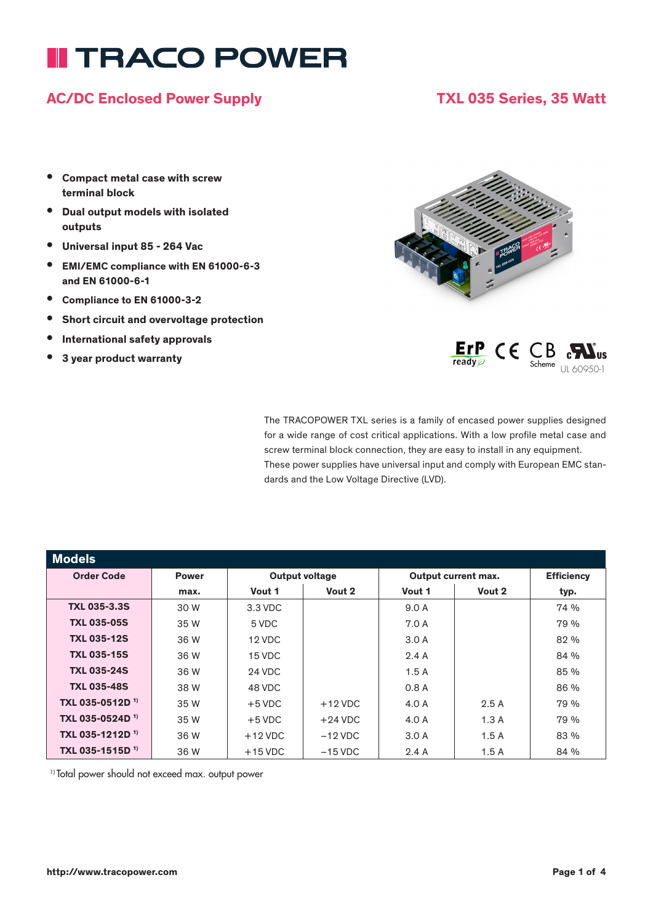# **II TRACO POWER**

#### AC/DC Enclosed Power Supply TXL 035 Series, 35 Watt

- Compact metal case with screw terminal block
- Dual output models with isolated outputs
- Universal input 85 264 Vac
- EMI/EMC compliance with EN 61000-6-3 and EN 61000-6-1
- Compliance to EN 61000-3-2
- Short circuit and overvoltage protection
- International safety approvals
- 3 year product warranty





The TRACOPOWER TXL series is a family of encased power supplies designed for a wide range of cost critical applications. With a low profile metal case and screw terminal block connection, they are easy to install in any equipment. These power supplies have universal input and comply with European EMC standards and the Low Voltage Directive (LVD).

| <b>Models</b>               |              |                       |           |                     |        |                   |
|-----------------------------|--------------|-----------------------|-----------|---------------------|--------|-------------------|
| <b>Order Code</b>           | <b>Power</b> | <b>Output voltage</b> |           | Output current max. |        | <b>Efficiency</b> |
|                             | max.         | Vout 1                | Vout 2    | Vout 1              | Vout 2 | typ.              |
| <b>TXL 035-3.3S</b>         | 30 W         | 3.3 VDC               |           | 9.0 A               |        | 74 %              |
| <b>TXL 035-05S</b>          | 35 W         | 5 VDC                 |           | 7.0 A               |        | 79 %              |
| <b>TXL 035-12S</b>          | 36 W         | 12 VDC                |           | 3.0A                |        | 82 %              |
| <b>TXL 035-15S</b>          | 36 W         | 15 VDC                |           | 2.4A                |        | 84 %              |
| <b>TXL 035-24S</b>          | 36 W         | 24 VDC                |           | 1.5A                |        | 85 %              |
| <b>TXL 035-48S</b>          | 38 W         | 48 VDC                |           | 0.8A                |        | 86 %              |
| TXL 035-0512D <sup>1)</sup> | 35 W         | $+5$ VDC              | $+12$ VDC | 4.0 A               | 2.5A   | 79 %              |
| TXL 035-0524D <sup>1)</sup> | 35 W         | $+5$ VDC              | $+24$ VDC | 4.0 A               | 1.3A   | 79 %              |
| TXL 035-1212D <sup>1)</sup> | 36 W         | $+12$ VDC             | $-12$ VDC | 3.0A                | 1.5A   | 83 %              |
| TXL 035-1515D <sup>1)</sup> | 36 W         | $+15$ VDC             | $-15$ VDC | 2.4A                | 1.5A   | 84 %              |

1) Total power should not exceed max. output power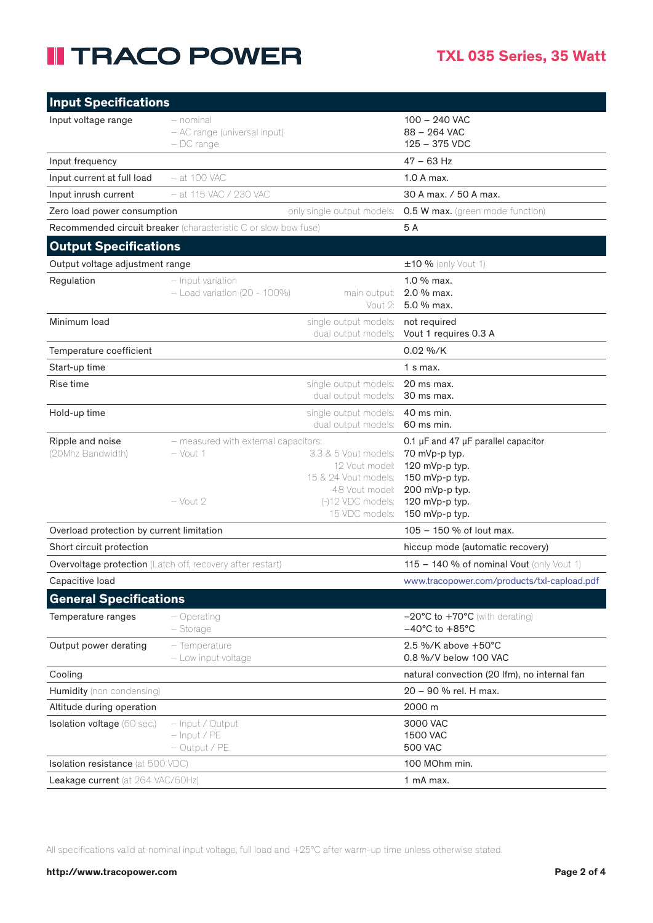## **II TRACO POWER**

| <b>Input Specifications</b>               |                                                                 |                                                                                                                         |                                                                                                                                                |
|-------------------------------------------|-----------------------------------------------------------------|-------------------------------------------------------------------------------------------------------------------------|------------------------------------------------------------------------------------------------------------------------------------------------|
| Input voltage range                       | – nominal<br>- AC range (universal input)<br>$-$ DC range       |                                                                                                                         | $100 - 240$ VAC<br>88 - 264 VAC<br>125 - 375 VDC                                                                                               |
| Input frequency                           |                                                                 |                                                                                                                         | $47 - 63$ Hz                                                                                                                                   |
| Input current at full load                | $-$ at 100 VAC                                                  |                                                                                                                         | $1.0A$ max.                                                                                                                                    |
| Input inrush current                      | $-$ at 115 VAC / 230 VAC                                        |                                                                                                                         | 30 A max. / 50 A max.                                                                                                                          |
| Zero load power consumption               |                                                                 | only single output models:                                                                                              | <b>0.5 W max.</b> (green mode function)                                                                                                        |
|                                           | Recommended circuit breaker (characteristic C or slow bow fuse) |                                                                                                                         | 5A                                                                                                                                             |
| <b>Output Specifications</b>              |                                                                 |                                                                                                                         |                                                                                                                                                |
| Output voltage adjustment range           |                                                                 |                                                                                                                         | ±10 % (only Vout 1)                                                                                                                            |
| Regulation                                | - Input variation<br>$-$ Load variation (20 - 100%)             | main output:<br>Vout 2:                                                                                                 | 1.0 % max.<br>2.0 % max.<br>5.0 % max.                                                                                                         |
| Minimum load                              |                                                                 | single output models:<br>dual output models:                                                                            | not required<br>Vout 1 requires 0.3 A                                                                                                          |
| Temperature coefficient                   |                                                                 |                                                                                                                         | 0.02 %/K                                                                                                                                       |
| Start-up time                             |                                                                 |                                                                                                                         | $1 \text{ s max}$ .                                                                                                                            |
| Rise time                                 |                                                                 | single output models:<br>dual output models:                                                                            | 20 ms max.<br>30 ms max.                                                                                                                       |
| Hold-up time                              |                                                                 | single output models:<br>dual output models:                                                                            | 40 ms min.<br>60 ms min.                                                                                                                       |
| Ripple and noise<br>(20Mhz Bandwidth)     | - measured with external capacitors:<br>$-$ Vout 1<br>– Vout 2  | 3.3 & 5 Vout models:<br>12 Vout model:<br>15 & 24 Vout models:<br>48 Vout model:<br>(-)12 VDC models:<br>15 VDC models: | 0.1 µF and 47 µF parallel capacitor<br>70 mVp-p typ.<br>120 mVp-p typ.<br>150 mVp-p typ.<br>200 mVp-p typ.<br>120 mVp-p typ.<br>150 mVp-p typ. |
| Overload protection by current limitation |                                                                 |                                                                                                                         | 105 - 150 % of lout max.                                                                                                                       |
| Short circuit protection                  |                                                                 |                                                                                                                         | hiccup mode (automatic recovery)                                                                                                               |
|                                           | Overvoltage protection (Latch off, recovery after restart)      |                                                                                                                         | $115 - 140$ % of nominal Vout (only Vout 1)                                                                                                    |
| Capacitive load                           |                                                                 |                                                                                                                         | www.tracopower.com/products/txl-capload.pdf                                                                                                    |
| <b>General Specifications</b>             |                                                                 |                                                                                                                         |                                                                                                                                                |
| Temperature ranges                        | $-$ Operating<br>- Storage                                      |                                                                                                                         | $-20^{\circ}$ C to $+70^{\circ}$ C (with derating)<br>$-40^{\circ}$ C to $+85^{\circ}$ C                                                       |
| Output power derating                     | - Temperature<br>- Low input voltage                            |                                                                                                                         | 2.5 %/K above +50°C<br>0.8 %/V below 100 VAC                                                                                                   |
| Cooling                                   |                                                                 |                                                                                                                         | natural convection (20 lfm), no internal fan                                                                                                   |
| Humidity (non condensing)                 |                                                                 |                                                                                                                         | 20 - 90 % rel. H max.                                                                                                                          |
| Altitude during operation                 |                                                                 |                                                                                                                         | 2000 m                                                                                                                                         |
| Isolation voltage (60 sec.)               | - Input / Output<br>$-$ Input / PE<br>$-$ Output / PE           |                                                                                                                         | 3000 VAC<br><b>1500 VAC</b><br><b>500 VAC</b>                                                                                                  |
| <b>Isolation resistance</b> (at 500 VDC)  |                                                                 |                                                                                                                         | 100 MOhm min.                                                                                                                                  |
| Leakage current (at 264 VAC/60Hz)         |                                                                 |                                                                                                                         | 1 mA max.                                                                                                                                      |

All specifications valid at nominal input voltage, full load and +25°C after warm-up time unless otherwise stated.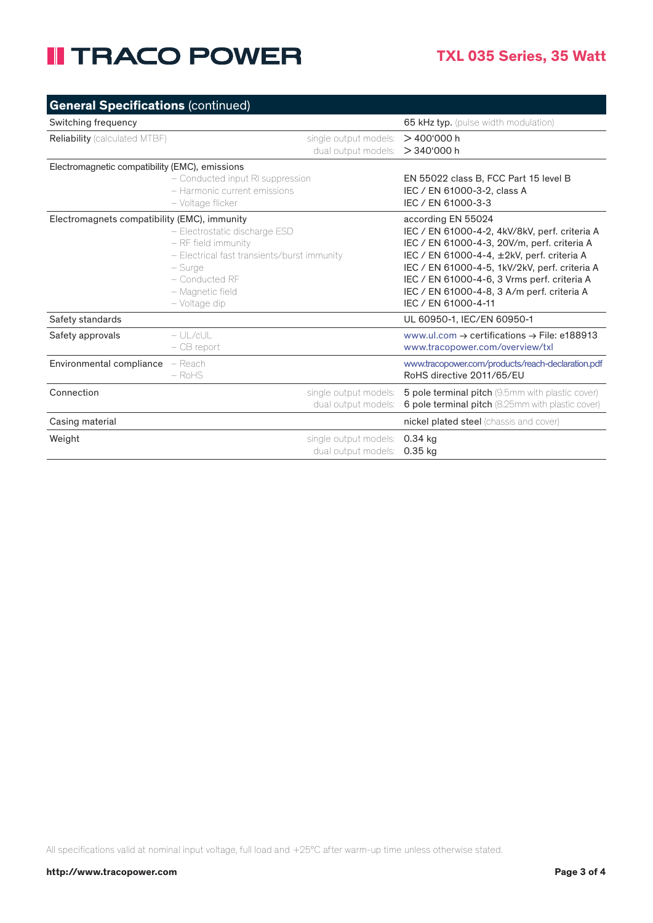## **II TRACO POWER**

| <b>General Specifications (continued)</b>      |                                                                                                                                                                       |                                                                                                                                                                                                                                                                                                                                       |  |
|------------------------------------------------|-----------------------------------------------------------------------------------------------------------------------------------------------------------------------|---------------------------------------------------------------------------------------------------------------------------------------------------------------------------------------------------------------------------------------------------------------------------------------------------------------------------------------|--|
| Switching frequency                            |                                                                                                                                                                       | 65 kHz typ. (pulse width modulation)                                                                                                                                                                                                                                                                                                  |  |
| <b>Reliability</b> (calculated MTBF)           | single output models:<br>dual output models:                                                                                                                          | >400'000h<br>>340'000h                                                                                                                                                                                                                                                                                                                |  |
| Electromagnetic compatibility (EMC), emissions | - Conducted input RI suppression<br>- Harmonic current emissions<br>- Voltage flicker                                                                                 | EN 55022 class B. FCC Part 15 level B<br>IEC / EN 61000-3-2, class A<br>IEC / EN 61000-3-3                                                                                                                                                                                                                                            |  |
| Electromagnets compatibility (EMC), immunity   | - Electrostatic discharge ESD<br>- RF field immunity<br>- Electrical fast transients/burst immunity<br>– Surge<br>- Conducted RF<br>- Magnetic field<br>- Voltage dip | according EN 55024<br>IEC / EN 61000-4-2, 4kV/8kV, perf. criteria A<br>IEC / EN 61000-4-3, 20V/m, perf. criteria A<br>IEC / EN 61000-4-4, ±2kV, perf. criteria A<br>IEC / EN 61000-4-5, 1kV/2kV, perf. criteria A<br>IEC / EN 61000-4-6, 3 Vrms perf. criteria A<br>IEC / EN 61000-4-8, 3 A/m perf. criteria A<br>IEC / EN 61000-4-11 |  |
| Safety standards                               |                                                                                                                                                                       | UL 60950-1, IEC/EN 60950-1                                                                                                                                                                                                                                                                                                            |  |
| Safety approvals                               | $-$ UI /cUI<br>$-$ CB report                                                                                                                                          | www.ul.com $\rightarrow$ certifications $\rightarrow$ File: e188913<br>www.tracopower.com/overview/txl                                                                                                                                                                                                                                |  |
| Environmental compliance                       | - Reach<br>$-$ RoHS                                                                                                                                                   | www.tracopower.com/products/reach-declaration.pdf<br>RoHS directive 2011/65/FU                                                                                                                                                                                                                                                        |  |
| Connection                                     | single output models:<br>dual output models:                                                                                                                          | 5 pole terminal pitch (9.5mm with plastic cover)<br>6 pole terminal pitch (8.25mm with plastic cover)                                                                                                                                                                                                                                 |  |
| Casing material                                |                                                                                                                                                                       | nickel plated steel (chassis and cover)                                                                                                                                                                                                                                                                                               |  |
| Weight                                         | single output models:<br>dual output models:                                                                                                                          | $0.34$ kg<br>0.35 kg                                                                                                                                                                                                                                                                                                                  |  |

All specifications valid at nominal input voltage, full load and +25°C after warm-up time unless otherwise stated.